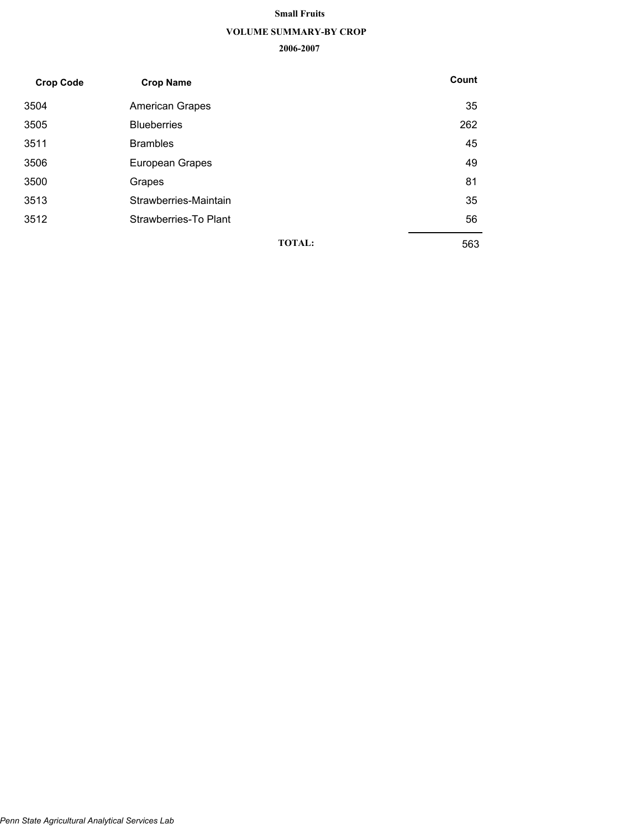#### **Small Fruits**

#### **VOLUME SUMMARY-BY CROP**

| <b>Crop Code</b> | <b>Crop Name</b>       |               | Count |
|------------------|------------------------|---------------|-------|
| 3504             | <b>American Grapes</b> |               | 35    |
| 3505             | <b>Blueberries</b>     |               | 262   |
| 3511             | <b>Brambles</b>        |               | 45    |
| 3506             | European Grapes        |               | 49    |
| 3500             | Grapes                 |               | 81    |
| 3513             | Strawberries-Maintain  |               | 35    |
| 3512             | Strawberries-To Plant  |               | 56    |
|                  |                        | <b>TOTAL:</b> | 563   |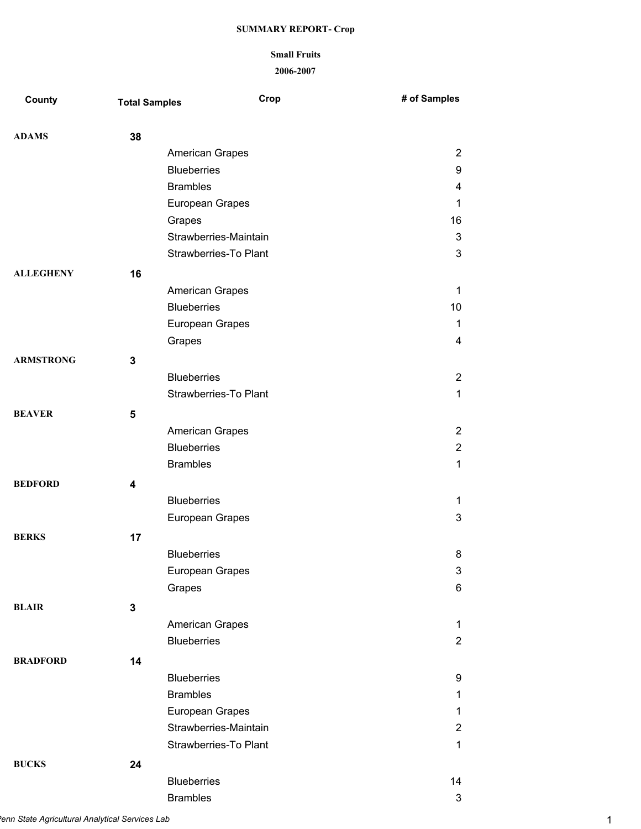# **Small Fruits**

| <b>County</b>    | <b>Total Samples</b> | Crop                         | # of Samples   |
|------------------|----------------------|------------------------------|----------------|
| <b>ADAMS</b>     | 38                   |                              |                |
|                  |                      | American Grapes              | $\overline{2}$ |
|                  |                      | <b>Blueberries</b>           | 9              |
|                  |                      | <b>Brambles</b>              | 4              |
|                  |                      | European Grapes              | 1              |
|                  |                      | Grapes                       | 16             |
|                  |                      | Strawberries-Maintain        | 3              |
|                  |                      | <b>Strawberries-To Plant</b> | 3              |
| <b>ALLEGHENY</b> | 16                   |                              |                |
|                  |                      | <b>American Grapes</b>       | 1              |
|                  |                      | <b>Blueberries</b>           | 10             |
|                  |                      | European Grapes              | 1              |
|                  |                      | Grapes                       | 4              |
| <b>ARMSTRONG</b> | 3                    |                              |                |
|                  |                      | <b>Blueberries</b>           | $\overline{2}$ |
|                  |                      | <b>Strawberries-To Plant</b> | $\mathbf{1}$   |
| <b>BEAVER</b>    | 5                    |                              |                |
|                  |                      | American Grapes              | $\overline{2}$ |
|                  |                      | <b>Blueberries</b>           | $\overline{2}$ |
|                  |                      | <b>Brambles</b>              | 1              |
| <b>BEDFORD</b>   | 4                    |                              |                |
|                  |                      | <b>Blueberries</b>           | 1              |
|                  |                      | European Grapes              | $\mathbf{3}$   |
|                  |                      |                              |                |
| <b>BERKS</b>     | 17                   |                              |                |
|                  |                      | <b>Blueberries</b>           | 8              |
|                  |                      | European Grapes              | 3              |
|                  |                      | Grapes                       | 6              |
| <b>BLAIR</b>     | 3                    |                              |                |
|                  |                      | American Grapes              | 1              |
|                  |                      | <b>Blueberries</b>           | $\overline{2}$ |
| <b>BRADFORD</b>  | 14                   |                              |                |
|                  |                      | <b>Blueberries</b>           | 9              |
|                  |                      | <b>Brambles</b>              | 1              |
|                  |                      | European Grapes              | 1              |
|                  |                      | Strawberries-Maintain        | $\overline{2}$ |
|                  |                      | Strawberries-To Plant        | $\mathbf{1}$   |
| <b>BUCKS</b>     | 24                   |                              |                |
|                  |                      | <b>Blueberries</b>           | 14             |
|                  |                      | <b>Brambles</b>              | $\mathfrak{S}$ |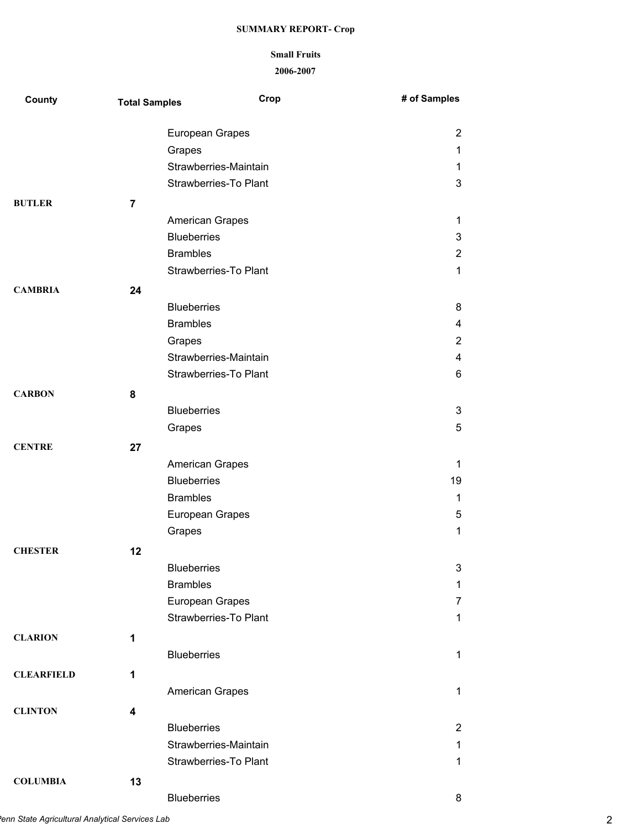# **Small Fruits**

| <b>County</b>     | <b>Total Samples</b> | Crop                         | # of Samples   |
|-------------------|----------------------|------------------------------|----------------|
|                   |                      | European Grapes              | $\overline{2}$ |
|                   |                      | Grapes                       | 1              |
|                   |                      | Strawberries-Maintain        | 1              |
|                   |                      | <b>Strawberries-To Plant</b> | 3              |
| <b>BUTLER</b>     | 7                    |                              |                |
|                   |                      | American Grapes              | 1              |
|                   |                      | <b>Blueberries</b>           | 3              |
|                   |                      | <b>Brambles</b>              | $\overline{2}$ |
|                   |                      | Strawberries-To Plant        | 1              |
| <b>CAMBRIA</b>    | 24                   |                              |                |
|                   |                      | <b>Blueberries</b>           | 8              |
|                   |                      | <b>Brambles</b>              | 4              |
|                   |                      | Grapes                       | 2              |
|                   |                      | Strawberries-Maintain        | 4              |
|                   |                      | <b>Strawberries-To Plant</b> | 6              |
| <b>CARBON</b>     | 8                    |                              |                |
|                   |                      | <b>Blueberries</b>           | 3              |
|                   |                      | Grapes                       | 5              |
| <b>CENTRE</b>     | 27                   |                              |                |
|                   |                      | <b>American Grapes</b>       | 1              |
|                   |                      | <b>Blueberries</b>           | 19             |
|                   |                      | <b>Brambles</b>              | 1              |
|                   |                      | European Grapes              | 5              |
|                   |                      | Grapes                       | 1              |
| <b>CHESTER</b>    | 12                   |                              |                |
|                   |                      | <b>Blueberries</b>           | 3              |
|                   |                      | <b>Brambles</b>              | 1              |
|                   |                      | European Grapes              | 7              |
|                   |                      | <b>Strawberries-To Plant</b> | 1              |
| <b>CLARION</b>    | 1                    |                              |                |
|                   |                      | <b>Blueberries</b>           | 1              |
| <b>CLEARFIELD</b> | 1                    |                              |                |
|                   |                      | <b>American Grapes</b>       | 1              |
| <b>CLINTON</b>    | 4                    |                              |                |
|                   |                      | <b>Blueberries</b>           | $\overline{2}$ |
|                   |                      | Strawberries-Maintain        | 1              |
|                   |                      | Strawberries-To Plant        | 1              |
| <b>COLUMBIA</b>   | 13                   |                              |                |
|                   |                      |                              |                |
|                   |                      | <b>Blueberries</b>           | 8              |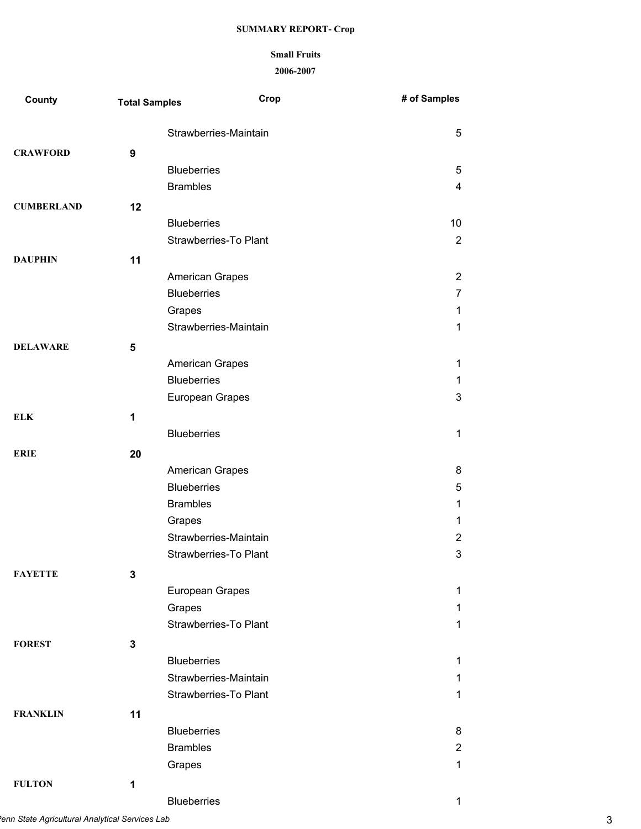### **Small Fruits**

| County            | <b>Total Samples</b> | Crop                         | # of Samples   |
|-------------------|----------------------|------------------------------|----------------|
|                   |                      | Strawberries-Maintain        | 5              |
| <b>CRAWFORD</b>   | 9                    |                              |                |
|                   |                      | <b>Blueberries</b>           | 5              |
|                   |                      | <b>Brambles</b>              | 4              |
| <b>CUMBERLAND</b> | 12                   |                              |                |
|                   |                      | <b>Blueberries</b>           | 10             |
|                   |                      | <b>Strawberries-To Plant</b> | $\overline{2}$ |
| <b>DAUPHIN</b>    | 11                   |                              |                |
|                   |                      | American Grapes              | $\overline{2}$ |
|                   |                      | <b>Blueberries</b>           | $\overline{7}$ |
|                   |                      | Grapes                       | 1              |
|                   |                      | Strawberries-Maintain        | $\mathbf 1$    |
| <b>DELAWARE</b>   | 5                    |                              |                |
|                   |                      | <b>American Grapes</b>       | 1              |
|                   |                      | <b>Blueberries</b>           | $\mathbf{1}$   |
|                   |                      | European Grapes              | 3              |
| <b>ELK</b>        | 1                    |                              |                |
|                   |                      | <b>Blueberries</b>           | $\mathbf{1}$   |
| <b>ERIE</b>       | 20                   |                              |                |
|                   |                      | <b>American Grapes</b>       | 8              |
|                   |                      | <b>Blueberries</b>           | 5              |
|                   |                      | <b>Brambles</b>              | $\mathbf 1$    |
|                   |                      | Grapes                       | 1              |
|                   |                      | Strawberries-Maintain        | $\overline{2}$ |
|                   |                      | Strawberries-To Plant        | 3              |
| <b>FAYETTE</b>    | 3                    |                              |                |
|                   |                      | European Grapes              | $\mathbf{1}$   |
|                   |                      | Grapes                       | 1              |
|                   |                      | Strawberries-To Plant        | 1              |
| <b>FOREST</b>     | $\mathbf 3$          |                              |                |
|                   |                      | <b>Blueberries</b>           | 1              |
|                   |                      | Strawberries-Maintain        | 1              |
|                   |                      | <b>Strawberries-To Plant</b> | 1              |
| <b>FRANKLIN</b>   | 11                   |                              |                |
|                   |                      | <b>Blueberries</b>           | 8              |
|                   |                      | <b>Brambles</b>              | $\overline{2}$ |
|                   |                      | Grapes                       | $\mathbf{1}$   |
| <b>FULTON</b>     | 1                    |                              |                |
|                   |                      | <b>Blueberries</b>           | 1              |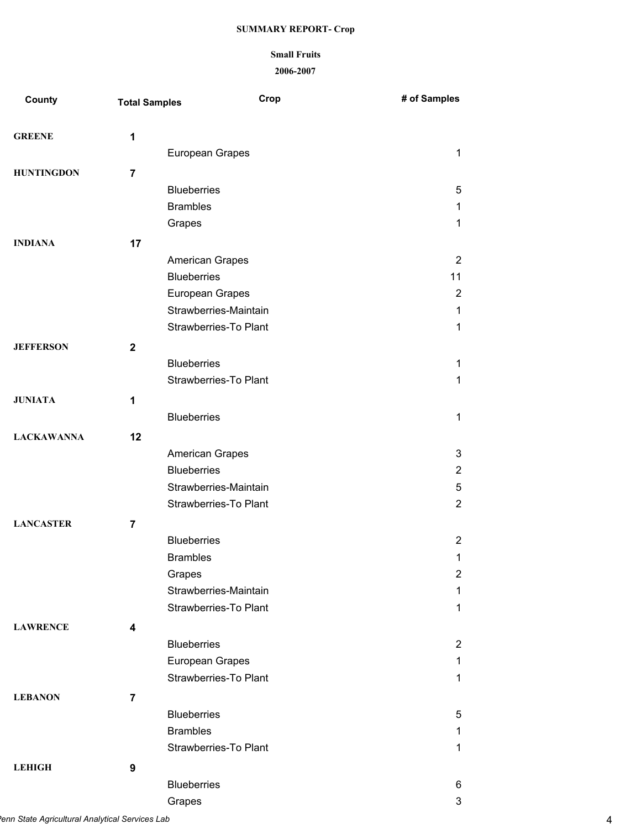# **Small Fruits**

| County            | <b>Total Samples</b> | Crop                                  | # of Samples   |
|-------------------|----------------------|---------------------------------------|----------------|
| <b>GREENE</b>     | 1                    |                                       |                |
|                   |                      | European Grapes                       | 1              |
| <b>HUNTINGDON</b> | 7                    |                                       |                |
|                   |                      | <b>Blueberries</b>                    | 5              |
|                   |                      | <b>Brambles</b>                       | 1              |
|                   |                      | Grapes                                | 1              |
| <b>INDIANA</b>    | 17                   |                                       |                |
|                   |                      | <b>American Grapes</b>                | $\overline{2}$ |
|                   |                      | <b>Blueberries</b>                    | 11             |
|                   |                      | European Grapes                       | $\overline{2}$ |
|                   |                      | Strawberries-Maintain                 | $\mathbf{1}$   |
|                   |                      | <b>Strawberries-To Plant</b>          | 1              |
| <b>JEFFERSON</b>  | $\mathbf{2}$         |                                       |                |
|                   |                      | <b>Blueberries</b>                    | 1              |
|                   |                      | <b>Strawberries-To Plant</b>          | 1              |
| <b>JUNIATA</b>    | 1                    |                                       |                |
|                   |                      | <b>Blueberries</b>                    | 1              |
| <b>LACKAWANNA</b> | 12                   |                                       |                |
|                   |                      | American Grapes                       | 3              |
|                   |                      | <b>Blueberries</b>                    | $\overline{2}$ |
|                   |                      | Strawberries-Maintain                 | 5              |
|                   |                      | <b>Strawberries-To Plant</b>          | $\overline{2}$ |
| <b>LANCASTER</b>  |                      |                                       |                |
|                   | $\overline{7}$       |                                       | $\overline{2}$ |
|                   |                      | <b>Blueberries</b><br><b>Brambles</b> | 1              |
|                   |                      | Grapes                                | $\overline{2}$ |
|                   |                      | Strawberries-Maintain                 | 1              |
|                   |                      | <b>Strawberries-To Plant</b>          | 1              |
|                   |                      |                                       |                |
| <b>LAWRENCE</b>   | 4                    |                                       |                |
|                   |                      | <b>Blueberries</b>                    | $\overline{2}$ |
|                   |                      | European Grapes                       | 1              |
|                   |                      | <b>Strawberries-To Plant</b>          | 1              |
| <b>LEBANON</b>    | $\overline{7}$       |                                       |                |
|                   |                      | <b>Blueberries</b>                    | 5              |
|                   |                      | <b>Brambles</b>                       | 1              |
|                   |                      | <b>Strawberries-To Plant</b>          | 1              |
| <b>LEHIGH</b>     | 9                    |                                       |                |
|                   |                      | <b>Blueberries</b>                    | 6              |
|                   |                      | Grapes                                | 3              |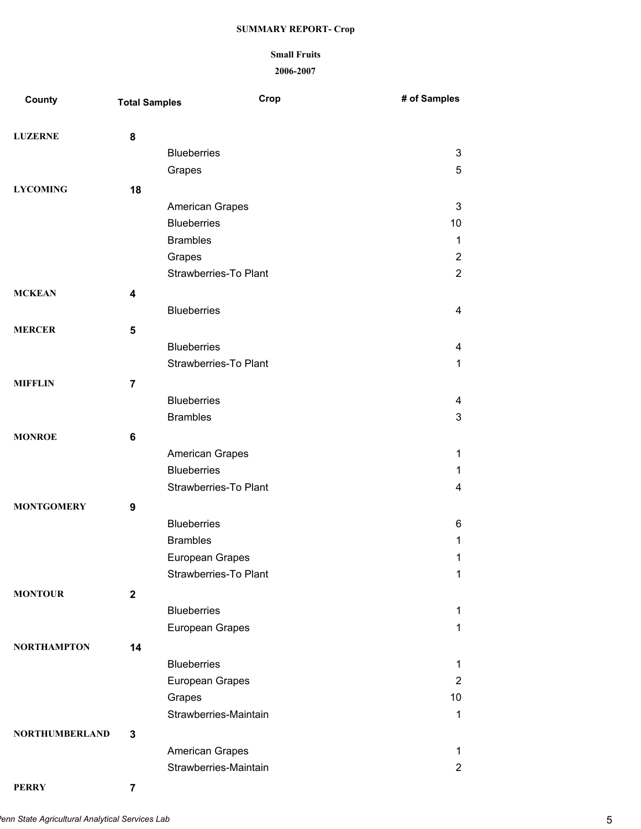# **Small Fruits**

**2006-2007**

| County                | <b>Total Samples</b> | Crop                         | # of Samples   |
|-----------------------|----------------------|------------------------------|----------------|
| <b>LUZERNE</b>        | 8                    |                              |                |
|                       |                      | <b>Blueberries</b>           | 3              |
|                       |                      | Grapes                       | 5              |
| <b>LYCOMING</b>       | 18                   |                              |                |
|                       |                      | American Grapes              | 3              |
|                       |                      | <b>Blueberries</b>           | 10             |
|                       |                      | <b>Brambles</b>              | 1              |
|                       |                      | Grapes                       | $\overline{2}$ |
|                       |                      | <b>Strawberries-To Plant</b> | $\overline{2}$ |
| <b>MCKEAN</b>         | 4                    |                              |                |
|                       |                      | <b>Blueberries</b>           | 4              |
| <b>MERCER</b>         | 5                    |                              |                |
|                       |                      | <b>Blueberries</b>           | 4              |
|                       |                      | <b>Strawberries-To Plant</b> | 1              |
|                       |                      |                              |                |
| <b>MIFFLIN</b>        | $\overline{7}$       |                              |                |
|                       |                      | <b>Blueberries</b>           | 4              |
|                       |                      | <b>Brambles</b>              | 3              |
| <b>MONROE</b>         | 6                    |                              |                |
|                       |                      | American Grapes              | 1              |
|                       |                      | <b>Blueberries</b>           | 1              |
|                       |                      | <b>Strawberries-To Plant</b> | 4              |
| <b>MONTGOMERY</b>     | 9                    |                              |                |
|                       |                      | <b>Blueberries</b>           | 6              |
|                       |                      | <b>Brambles</b>              | 1              |
|                       |                      | European Grapes              | 1              |
|                       |                      | <b>Strawberries-To Plant</b> | 1              |
| <b>MONTOUR</b>        | $\mathbf 2$          |                              |                |
|                       |                      | <b>Blueberries</b>           | 1              |
|                       |                      | European Grapes              | 1              |
| <b>NORTHAMPTON</b>    | 14                   |                              |                |
|                       |                      | <b>Blueberries</b>           | 1              |
|                       |                      | European Grapes              | $\overline{2}$ |
|                       |                      | Grapes                       | 10             |
|                       |                      | Strawberries-Maintain        | 1              |
| <b>NORTHUMBERLAND</b> | 3                    |                              |                |
|                       |                      | American Grapes              | 1              |
|                       |                      | Strawberries-Maintain        | $\overline{2}$ |

**PERRY 7**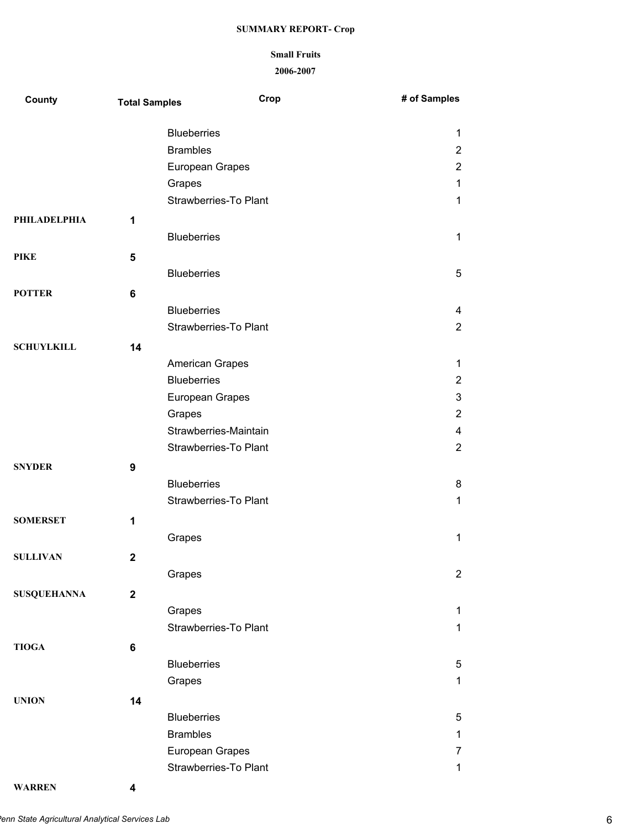## **Small Fruits**

**2006-2007**

| County              | <b>Total Samples</b> | Crop                         | # of Samples   |
|---------------------|----------------------|------------------------------|----------------|
|                     |                      | <b>Blueberries</b>           | 1              |
|                     |                      | <b>Brambles</b>              | $\overline{2}$ |
|                     |                      | European Grapes              | $\overline{2}$ |
|                     |                      | Grapes                       | 1              |
|                     |                      | Strawberries-To Plant        | 1              |
| <b>PHILADELPHIA</b> | 1                    |                              |                |
|                     |                      | <b>Blueberries</b>           | 1              |
| <b>PIKE</b>         | 5                    |                              |                |
|                     |                      | <b>Blueberries</b>           | 5              |
| <b>POTTER</b>       | 6                    |                              |                |
|                     |                      | <b>Blueberries</b>           | 4              |
|                     |                      | <b>Strawberries-To Plant</b> | $\overline{2}$ |
| <b>SCHUYLKILL</b>   | 14                   |                              |                |
|                     |                      | American Grapes              | 1              |
|                     |                      | <b>Blueberries</b>           | $\overline{2}$ |
|                     |                      | European Grapes              | 3              |
|                     |                      | Grapes                       | $\overline{2}$ |
|                     |                      | Strawberries-Maintain        | 4              |
|                     |                      | <b>Strawberries-To Plant</b> | $\overline{2}$ |
| <b>SNYDER</b>       | 9                    |                              |                |
|                     |                      | <b>Blueberries</b>           | 8              |
|                     |                      | <b>Strawberries-To Plant</b> | 1              |
| <b>SOMERSET</b>     | 1                    |                              |                |
|                     |                      | Grapes                       | 1              |
| <b>SULLIVAN</b>     | $\mathbf 2$          |                              |                |
|                     |                      | Grapes                       | $\overline{2}$ |
| <b>SUSQUEHANNA</b>  | $\mathbf{2}$         |                              |                |
|                     |                      | Grapes                       | 1              |
|                     |                      | Strawberries-To Plant        | 1              |
| <b>TIOGA</b>        | 6                    |                              |                |
|                     |                      | <b>Blueberries</b>           | 5              |
|                     |                      | Grapes                       | 1              |
| <b>UNION</b>        |                      |                              |                |
|                     | 14                   | <b>Blueberries</b>           | 5              |
|                     |                      | <b>Brambles</b>              | 1              |
|                     |                      | European Grapes              | 7              |
|                     |                      | Strawberries-To Plant        | 1              |
|                     |                      |                              |                |

**WARREN 4**